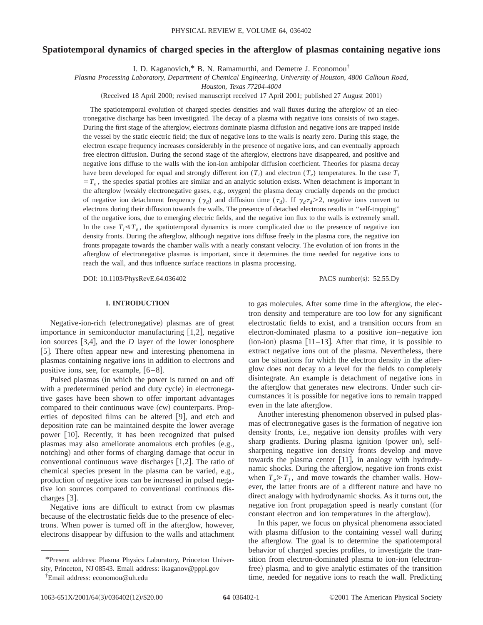# **Spatiotemporal dynamics of charged species in the afterglow of plasmas containing negative ions**

I. D. Kaganovich,\* B. N. Ramamurthi, and Demetre J. Economou†

*Plasma Processing Laboratory, Department of Chemical Engineering, University of Houston, 4800 Calhoun Road,*

*Houston, Texas 77204-4004*

(Received 18 April 2000; revised manuscript received 17 April 2001; published 27 August 2001)

The spatiotemporal evolution of charged species densities and wall fluxes during the afterglow of an electronegative discharge has been investigated. The decay of a plasma with negative ions consists of two stages. During the first stage of the afterglow, electrons dominate plasma diffusion and negative ions are trapped inside the vessel by the static electric field; the flux of negative ions to the walls is nearly zero. During this stage, the electron escape frequency increases considerably in the presence of negative ions, and can eventually approach free electron diffusion. During the second stage of the afterglow, electrons have disappeared, and positive and negative ions diffuse to the walls with the ion-ion ambipolar diffusion coefficient. Theories for plasma decay have been developed for equal and strongly different ion  $(T_i)$  and electron  $(T_e)$  temperatures. In the case  $T_i$  $T_e$ , the species spatial profiles are similar and an analytic solution exists. When detachment is important in the afterglow (weakly electronegative gases, e.g., oxygen) the plasma decay crucially depends on the product of negative ion detachment frequency ( $\gamma_d$ ) and diffusion time ( $\tau_d$ ). If  $\gamma_d \tau_d$  >2, negative ions convert to electrons during their diffusion towards the walls. The presence of detached electrons results in ''self-trapping'' of the negative ions, due to emerging electric fields, and the negative ion flux to the walls is extremely small. In the case  $T_i \ll T_e$ , the spatiotemporal dynamics is more complicated due to the presence of negative ion density fronts. During the afterglow, although negative ions diffuse freely in the plasma core, the negative ion fronts propagate towards the chamber walls with a nearly constant velocity. The evolution of ion fronts in the afterglow of electronegative plasmas is important, since it determines the time needed for negative ions to reach the wall, and thus influence surface reactions in plasma processing.

DOI: 10.1103/PhysRevE.64.036402 PACS number(s): 52.55.Dy

#### **I. INTRODUCTION**

Negative-ion-rich (electronegative) plasmas are of great importance in semiconductor manufacturing  $[1,2]$ , negative ion sources  $[3,4]$ , and the *D* layer of the lower ionosphere [5]. There often appear new and interesting phenomena in plasmas containing negative ions in addition to electrons and positive ions, see, for example,  $[6-8]$ .

Pulsed plasmas (in which the power is turned on and off with a predetermined period and duty cycle) in electronegative gases have been shown to offer important advantages compared to their continuous wave (cw) counterparts. Properties of deposited films can be altered  $[9]$ , and etch and deposition rate can be maintained despite the lower average power [10]. Recently, it has been recognized that pulsed plasmas may also ameliorate anomalous etch profiles (e.g., notching) and other forms of charging damage that occur in conventional continuous wave discharges  $[1,2]$ . The ratio of chemical species present in the plasma can be varied, e.g., production of negative ions can be increased in pulsed negative ion sources compared to conventional continuous discharges  $\lceil 3 \rceil$ .

Negative ions are difficult to extract from cw plasmas because of the electrostatic fields due to the presence of electrons. When power is turned off in the afterglow, however, electrons disappear by diffusion to the walls and attachment to gas molecules. After some time in the afterglow, the electron density and temperature are too low for any significant electrostatic fields to exist, and a transition occurs from an electron-dominated plasma to a positive ion–negative ion  $(ion-ion)$  plasma  $[11–13]$ . After that time, it is possible to extract negative ions out of the plasma. Nevertheless, there can be situations for which the electron density in the afterglow does not decay to a level for the fields to completely disintegrate. An example is detachment of negative ions in the afterglow that generates new electrons. Under such circumstances it is possible for negative ions to remain trapped even in the late afterglow.

Another interesting phenomenon observed in pulsed plasmas of electronegative gases is the formation of negative ion density fronts, i.e., negative ion density profiles with very sharp gradients. During plasma ignition (power on), selfsharpening negative ion density fronts develop and move towards the plasma center  $[11]$ , in analogy with hydrodynamic shocks. During the afterglow, negative ion fronts exist when  $T_e \ge T_i$ , and move towards the chamber walls. However, the latter fronts are of a different nature and have no direct analogy with hydrodynamic shocks. As it turns out, the negative ion front propagation speed is nearly constant (for constant electron and ion temperatures in the afterglow).

In this paper, we focus on physical phenomena associated with plasma diffusion to the containing vessel wall during the afterglow. The goal is to determine the spatiotemporal behavior of charged species profiles, to investigate the transition from electron-dominated plasma to ion-ion (electronfree) plasma, and to give analytic estimates of the transition time, needed for negative ions to reach the wall. Predicting

<sup>\*</sup>Present address: Plasma Physics Laboratory, Princeton University, Princeton, NJ 08543. Email address: ikaganov@pppl.gov

<sup>†</sup> Email address: economou@uh.edu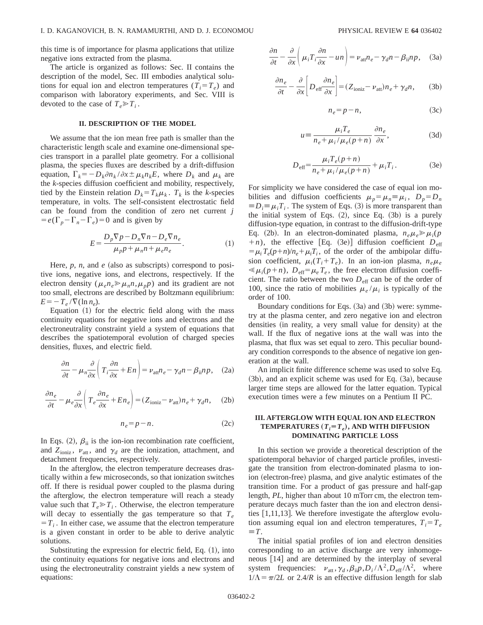this time is of importance for plasma applications that utilize negative ions extracted from the plasma.

The article is organized as follows: Sec. II contains the description of the model, Sec. III embodies analytical solutions for equal ion and electron temperatures  $(T_i = T_e)$  and comparison with laboratory experiments, and Sec. VIII is devoted to the case of  $T_e \gg T_i$ .

### **II. DESCRIPTION OF THE MODEL**

We assume that the ion mean free path is smaller than the characteristic length scale and examine one-dimensional species transport in a parallel plate geometry. For a collisional plasma, the species fluxes are described by a drift-diffusion equation,  $\Gamma_k = -D_k \partial n_k / \partial x \pm \mu_k n_k E$ , where  $D_k$  and  $\mu_k$  are the *k*-species diffusion coefficient and mobility, respectively, tied by the Einstein relation  $D_k = T_k \mu_k$ .  $T_k$  is the *k*-species temperature, in volts. The self-consistent electrostatic field can be found from the condition of zero net current *j*  $= e(\Gamma_p - \Gamma_n - \Gamma_e) = 0$  and is given by

$$
E = \frac{D_p \nabla p - D_n \nabla n - D_e \nabla n_e}{\mu_p p + \mu_n n + \mu_e n_e}.
$$
 (1)

Here,  $p$ ,  $n$ , and  $e$  (also as subscripts) correspond to positive ions, negative ions, and electrons, respectively. If the electron density ( $\mu_e n_e \gg \mu_n n, \mu_p p$ ) and its gradient are not too small, electrons are described by Boltzmann equilibrium:  $E=-T_e/\nabla(\ln n_e)$ .

Equation  $(1)$  for the electric field along with the mass continuity equations for negative ions and electrons and the electroneutrality constraint yield a system of equations that describes the spatiotemporal evolution of charged species densities, fluxes, and electric field.

$$
\frac{\partial n}{\partial t} - \mu_n \frac{\partial}{\partial x} \left( T_i \frac{\partial n}{\partial x} + En \right) = \nu_{\text{att}} n_e - \gamma_d n - \beta_{\text{ii}} n_p, \quad (2a)
$$

$$
\frac{\partial n_e}{\partial t} - \mu_e \frac{\partial}{\partial x} \left( T_e \frac{\partial n_e}{\partial x} + E n_e \right) = (Z_{\text{ioniz}} - \nu_{\text{att}}) n_e + \gamma_d n, \quad (2b)
$$

$$
n_e = p - n. \tag{2c}
$$

In Eqs. (2),  $\beta_{ii}$  is the ion-ion recombination rate coefficient, and  $Z_{\text{ioniz}}$ ,  $\nu_{\text{att}}$ , and  $\gamma_d$  are the ionization, attachment, and detachment frequencies, respectively.

In the afterglow, the electron temperature decreases drastically within a few microseconds, so that ionization switches off. If there is residual power coupled to the plasma during the afterglow, the electron temperature will reach a steady value such that  $T_e \ge T_i$ . Otherwise, the electron temperature will decay to essentially the gas temperature so that  $T_e$  $T_i$ . In either case, we assume that the electron temperature is a given constant in order to be able to derive analytic solutions.

Substituting the expression for electric field, Eq.  $(1)$ , into the continuity equations for negative ions and electrons and using the electroneutrality constraint yields a new system of equations:

$$
\frac{\partial n}{\partial t} - \frac{\partial}{\partial x} \left( \mu_i T_i \frac{\partial n}{\partial x} - \mu n \right) = \nu_{\text{att}} n_e - \gamma_d n - \beta_{\text{ii}} n_p, \quad (3a)
$$

$$
\frac{\partial n_e}{\partial t} - \frac{\partial}{\partial x} \bigg[ D_{\text{eff}} \frac{\partial n_e}{\partial x} \bigg] = (Z_{\text{ioniz}} - \nu_{\text{att}}) n_e + \gamma_d n, \qquad (3b)
$$

$$
n_e = p - n,\t\t(3c)
$$

$$
u = \frac{\mu_i T_e}{n_e + \mu_i / \mu_e (p + n)} \frac{\partial n_e}{\partial x},
$$
 (3d)

$$
D_{\text{eff}} = \frac{\mu_i T_e (p + n)}{n_e + \mu_i / \mu_e (p + n)} + \mu_i T_i.
$$
 (3e)

For simplicity we have considered the case of equal ion mobilities and diffusion coefficients  $\mu_p = \mu_n \equiv \mu_i$ ,  $D_p = D_n$  $\equiv D_i \equiv \mu_i T_i$ . The system of Eqs. (3) is more transparent than the initial system of Eqs.  $(2)$ , since Eq.  $(3b)$  is a purely diffusion-type equation, in contrast to the diffusion-drift-type Eq. (2b). In an electron-dominated plasma,  $n_e \mu_e \gg \mu_i(p)$  $+n$ ), the effective [Eq. (3e)] diffusion coefficient  $D_{\text{eff}}$  $= \mu_i T_e(p+n)/n_e + \mu_i T_i$ , of the order of the ambipolar diffusion coefficient,  $\mu_i(T_i+T_e)$ . In an ion-ion plasma,  $n_e\mu_e$  $\ll \mu_i(p+n)$ ,  $D_{\text{eff}} = \mu_e T_e$ , the free electron diffusion coefficient. The ratio between the two  $D_{\text{eff}}$  can be of the order of 100, since the ratio of mobilities  $\mu_e / \mu_i$  is typically of the order of 100.

Boundary conditions for Eqs.  $(3a)$  and  $(3b)$  were: symmetry at the plasma center, and zero negative ion and electron densities (in reality, a very small value for density) at the wall. If the flux of negative ions at the wall was into the plasma, that flux was set equal to zero. This peculiar boundary condition corresponds to the absence of negative ion generation at the wall.

An implicit finite difference scheme was used to solve Eq.  $(3b)$ , and an explicit scheme was used for Eq.  $(3a)$ , because larger time steps are allowed for the latter equation. Typical execution times were a few minutes on a Pentium II PC.

## **III. AFTERGLOW WITH EQUAL ION AND ELECTRON TEMPERATURES**  $(T_i = T_e)$ , AND WITH DIFFUSION **DOMINATING PARTICLE LOSS**

In this section we provide a theoretical description of the spatiotemporal behavior of charged particle profiles, investigate the transition from electron-dominated plasma to ionion (electron-free) plasma, and give analytic estimates of the transition time. For a product of gas pressure and half-gap length, *PL*, higher than about 10 mTorr cm, the electron temperature decays much faster than the ion and electron densities  $[1,11,13]$ . We therefore investigate the afterglow evolution assuming equal ion and electron temperatures,  $T_i = T_e$  $\equiv T$ .

The initial spatial profiles of ion and electron densities corresponding to an active discharge are very inhomogeneous [14] and are determined by the interplay of several system frequencies:  $v_{\text{att}}$ ,  $\gamma_d$ ,  $\beta_{\text{ii}} p$ ,  $D_i / \Lambda^2$ ,  $\overline{D}_{\text{eff}} / \Lambda^2$ , where  $1/\Lambda = \pi/2L$  or 2.4/*R* is an effective diffusion length for slab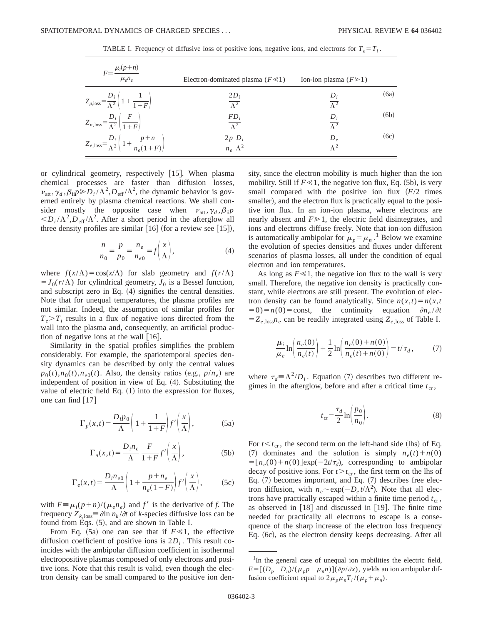| $\mu_i(p+n)$          |                                         |                            |
|-----------------------|-----------------------------------------|----------------------------|
|                       |                                         |                            |
| $\mu_{\rho} n_{\rho}$ | Electron-dominated plasma ( $F \ll 1$ ) | Ion-ion plasma $(F \ge 1)$ |

TABLE I. Frequency of diffusive loss of positive ions, negative ions, and electrons for  $T_e = T_i$ .

| $r = -$<br>$\mu_e n_e$                                                              | Electron-dominated plasma ( $F \ll 1$ )           | Ion-ion plasma $(F \ge 1)$      |      |
|-------------------------------------------------------------------------------------|---------------------------------------------------|---------------------------------|------|
| $Z_{p,\text{loss}} = \frac{D_i}{\Lambda^2} \left( 1 + \frac{1}{1+F} \right)$        | $2D_i$<br>$\overline{\Lambda^2}$                  | $\overline{\Lambda^2}$          | (6a) |
| $Z_{n,\text{loss}} = \frac{D_i}{\Lambda^2} \left( \frac{F}{1+F} \right)$            | $FD_i$<br>$\overline{\Lambda^2}$                  | $D_i$<br>$\overline{\Lambda^2}$ | (6b) |
| $Z_{e,\text{loss}} = \frac{D_i}{\Lambda^2} \left( 1 + \frac{p+n}{n_e(1+F)} \right)$ | $2p D_i$<br>$\overline{n_e} \overline{\Lambda^2}$ | $D_e$<br>$\overline{\Lambda^2}$ | (6c) |

or cylindrical geometry, respectively [15]. When plasma chemical processes are faster than diffusion losses,  $\nu_{\text{att}}$ ,  $\gamma_d$ ,  $\beta_{\text{ii}} p \gg D_i / \Lambda^2$ ,  $D_{\text{eff}} / \Lambda^2$ , the dynamic behavior is governed entirely by plasma chemical reactions. We shall consider mostly the opposite case when  $v_{\text{att}}$ ,  $\gamma_d$ ,  $\beta_{\text{ii}}p$  $\langle D_i/\Lambda^2, D_{\text{eff}}/\Lambda^2$ . After a short period in the afterglow all three density profiles are similar  $[16]$  (for a review see  $[15]$ ),

$$
\frac{n}{n_0} = \frac{p}{p_0} = \frac{n_e}{n_{e0}} = f\left(\frac{x}{\Lambda}\right),\tag{4}
$$

where  $f(x/\Lambda) = \cos(x/\Lambda)$  for slab geometry and  $f(r/\Lambda)$  $=J_0(r/\Lambda)$  for cylindrical geometry,  $J_0$  is a Bessel function, and subscript zero in Eq.  $(4)$  signifies the central densities. Note that for unequal temperatures, the plasma profiles are not similar. Indeed, the assumption of similar profiles for  $T_e > T_i$  results in a flux of negative ions directed from the wall into the plasma and, consequently, an artificial production of negative ions at the wall  $[16]$ .

Similarity in the spatial profiles simplifies the problem considerably. For example, the spatiotemporal species density dynamics can be described by only the central values  $p_0(t)$ , $n_0(t)$ , $n_{e0}(t)$ . Also, the density ratios (e.g.,  $p/n_e$ ) are independent of position in view of Eq.  $(4)$ . Substituting the value of electric field Eq.  $(1)$  into the expression for fluxes, one can find  $\lceil 17 \rceil$ 

$$
\Gamma_p(x,t) = \frac{D_i p_0}{\Lambda} \left( 1 + \frac{1}{1+F} \right) f' \left( \frac{x}{\Lambda} \right),\tag{5a}
$$

$$
\Gamma_n(x,t) = \frac{D_i n_e}{\Lambda} \frac{F}{1+F} f'\left(\frac{x}{\Lambda}\right),\tag{5b}
$$

$$
\Gamma_e(x,t) = \frac{D_i n_{e0}}{\Lambda} \left( 1 + \frac{p + n_e}{n_e(1 + F)} \right) f' \left( \frac{x}{\Lambda} \right),
$$
 (5c)

with  $F \equiv \mu_i(p+n)/(\mu_e n_e)$  and  $f'$  is the derivative of *f*. The frequency  $Z_{k,\text{loss}} \equiv \partial \ln n_k / \partial t$  of *k*-species diffusive loss can be found from Eqs. (5), and are shown in Table I.

From Eq.  $(5a)$  one can see that if  $F \ll 1$ , the effective diffusion coefficient of positive ions is  $2D_i$ . This result coincides with the ambipolar diffusion coefficient in isothermal electropositive plasmas composed of only electrons and positive ions. Note that this result is valid, even though the electron density can be small compared to the positive ion density, since the electron mobility is much higher than the ion mobility. Still if  $F \ll 1$ , the negative ion flux, Eq. (5b), is very small compared with the positive ion flux  $(F/2)$  times smaller), and the electron flux is practically equal to the positive ion flux. In an ion-ion plasma, where electrons are nearly absent and  $F \geq 1$ , the electric field disintegrates, and ions and electrons diffuse freely. Note that ion-ion diffusion is automatically ambipolar for  $\mu_p = \mu_n$ .<sup>1</sup> Below we examine the evolution of species densities and fluxes under different scenarios of plasma losses, all under the condition of equal electron and ion temperatures.

As long as  $F \ll 1$ , the negative ion flux to the wall is very small. Therefore, the negative ion density is practically constant, while electrons are still present. The evolution of electron density can be found analytically. Since  $n(x,t) = n(x,t)$  $(50) = n(0) = \text{const}$ , the continuity equation  $\partial n_e / \partial t$  $=Z_{e,\text{loss}}n_e$  can be readily integrated using  $Z_{e,\text{loss}}$  of Table I.

$$
\frac{\mu_i}{\mu_e} \ln \left( \frac{n_e(0)}{n_e(t)} \right) + \frac{1}{2} \ln \left( \frac{n_e(0) + n(0)}{n_e(t) + n(0)} \right) = t/\tau_d, \tag{7}
$$

where  $\tau_d \equiv \Lambda^2/D_i$ . Equation (7) describes two different regimes in the afterglow, before and after a critical time  $t_{cr}$ ,

$$
t_{\rm cr} = \frac{\tau_d}{2} \ln \left( \frac{p_0}{n_0} \right). \tag{8}
$$

For  $t < t_{cr}$ , the second term on the left-hand side (lhs) of Eq. (7) dominates and the solution is simply  $n_e(t) + n(0)$  $=$ [ $n_e(0) + n(0)$ ]exp( $-2t/\tau_d$ ), corresponding to ambipolar decay of positive ions. For  $t > t_{cr}$ , the first term on the lhs of Eq.  $(7)$  becomes important, and Eq.  $(7)$  describes free electron diffusion, with  $n_e \sim \exp(-D_e t/\Lambda^2)$ . Note that all electrons have practically escaped within a finite time period  $t_{cr}$ , as observed in  $[18]$  and discussed in  $[19]$ . The finite time needed for practically all electrons to escape is a consequence of the sharp increase of the electron loss frequency Eq. (6c), as the electron density keeps decreasing. After all

<sup>&</sup>lt;sup>1</sup>In the general case of unequal ion mobilities the electric field,  $E = [(D_p - D_n)/(\mu_p p + \mu_n n)](\partial p/\partial x)$ , yields an ion ambipolar diffusion coefficient equal to  $2\mu_p\mu_nT_i/(\mu_p+\mu_n)$ .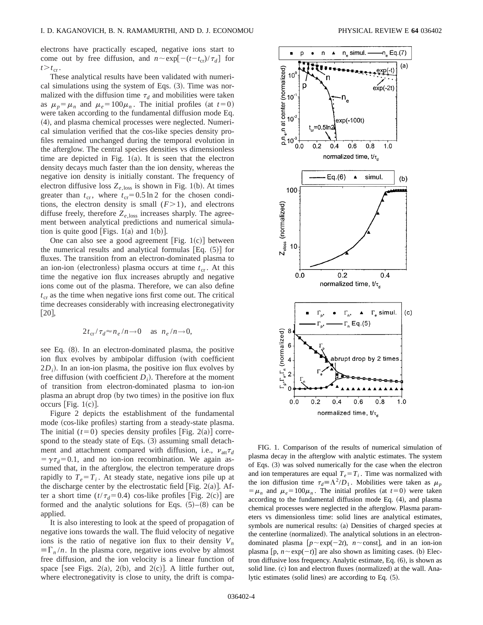electrons have practically escaped, negative ions start to come out by free diffusion, and  $n \sim \exp[-(t-t_{cr})/\tau_d]$  for  $t > t_{cr}$ .

These analytical results have been validated with numerical simulations using the system of Eqs.  $(3)$ . Time was normalized with the diffusion time  $\tau_d$  and mobilities were taken as  $\mu_p = \mu_n$  and  $\mu_e = 100\mu_n$ . The initial profiles (at  $t=0$ ) were taken according to the fundamental diffusion mode Eq.  $(4)$ , and plasma chemical processes were neglected. Numerical simulation verified that the cos-like species density profiles remained unchanged during the temporal evolution in the afterglow. The central species densities vs dimensionless time are depicted in Fig.  $1(a)$ . It is seen that the electron density decays much faster than the ion density, whereas the negative ion density is initially constant. The frequency of electron diffusive loss  $Z_{e,loss}$  is shown in Fig. 1(b). At times greater than  $t_{cr}$ , where  $t_{cr} = 0.5 \ln 2$  for the chosen conditions, the electron density is small  $(F>1)$ , and electrons diffuse freely, therefore  $Z_{e,loss}$  increases sharply. The agreement between analytical predictions and numerical simulation is quite good [Figs.  $1(a)$  and  $1(b)$ ].

One can also see a good agreement [Fig.  $1(c)$ ] between the numerical results and analytical formulas  $[Eq. (5)]$  for fluxes. The transition from an electron-dominated plasma to an ion-ion (electronless) plasma occurs at time  $t_{cr}$ . At this time the negative ion flux increases abruptly and negative ions come out of the plasma. Therefore, we can also define  $t_{cr}$  as the time when negative ions first come out. The critical time decreases considerably with increasing electronegativity  $[20]$ ,

$$
2t_{\rm cr}/\tau_d \approx n_e/n \to 0 \quad \text{as} \quad n_e/n \to 0,
$$

see Eq.  $(8)$ . In an electron-dominated plasma, the positive ion flux evolves by ambipolar diffusion (with coefficient  $2D_i$ ). In an ion-ion plasma, the positive ion flux evolves by free diffusion (with coefficient  $D_i$ ). Therefore at the moment of transition from electron-dominated plasma to ion-ion plasma an abrupt drop (by two times) in the positive ion flux occurs [Fig.  $1(c)$ ].

Figure 2 depicts the establishment of the fundamental mode (cos-like profiles) starting from a steady-state plasma. The initial  $(t=0)$  species density profiles [Fig. 2(a)] correspond to the steady state of Eqs.  $(3)$  assuming small detachment and attachment compared with diffusion, i.e.,  $v_{\text{att}} \tau_d$  $=\gamma \tau_d = 0.1$ , and no ion-ion recombination. We again assumed that, in the afterglow, the electron temperature drops rapidly to  $T_e = T_i$ . At steady state, negative ions pile up at the discharge center by the electrostatic field [Fig. 2(a)]. After a short time  $(t/\tau_d=0.4)$  cos-like profiles [Fig. 2(c)] are formed and the analytic solutions for Eqs.  $(5)-(8)$  can be applied.

It is also interesting to look at the speed of propagation of negative ions towards the wall. The fluid velocity of negative ions is the ratio of negative ion flux to their density  $V_n$  $\equiv \Gamma_n / n$ . In the plasma core, negative ions evolve by almost free diffusion, and the ion velocity is a linear function of space [see Figs. 2(a), 2(b), and 2(c)]. A little further out, where electronegativity is close to unity, the drift is compa-



FIG. 1. Comparison of the results of numerical simulation of plasma decay in the afterglow with analytic estimates. The system of Eqs. (3) was solved numerically for the case when the electron and ion temperatures are equal  $T_e = T_i$ . Time was normalized with the ion diffusion time  $\tau_d = \Lambda^2/D_1$ . Mobilities were taken as  $\mu_p$  $=$  $\mu_n$  and  $\mu_e$ =100 $\mu_n$ . The initial profiles (at *t*=0) were taken according to the fundamental diffusion mode Eq.  $(4)$ , and plasma chemical processes were neglected in the afterglow. Plasma parameters vs dimensionless time: solid lines are analytical estimates, symbols are numerical results: (a) Densities of charged species at the centerline (normalized). The analytical solutions in an electrondominated plasma  $[p \sim \exp(-2t)$ , *n* $\sim$ const], and in an ion-ion plasma  $[p, n \sim \exp(-t)]$  are also shown as limiting cases. (b) Electron diffusive loss frequency. Analytic estimate, Eq.  $(6)$ , is shown as solid line. (c) Ion and electron fluxes (normalized) at the wall. Analytic estimates (solid lines) are according to Eq.  $(5)$ .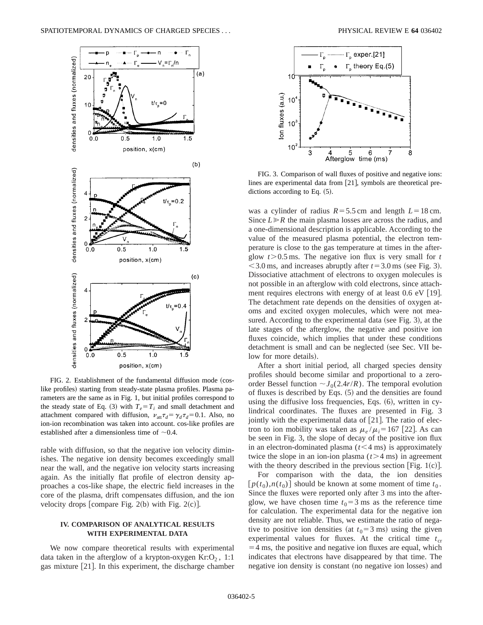

FIG. 2. Establishment of the fundamental diffusion mode (coslike profiles) starting from steady-state plasma profiles. Plasma parameters are the same as in Fig. 1, but initial profiles correspond to the steady state of Eq. (3) with  $T_e = T_i$  and small detachment and attachment compared with diffusion,  $\nu_{\text{att}} \tau_d = \gamma_d \tau_d = 0.1$ . Also, no ion-ion recombination was taken into account. cos-like profiles are established after a dimensionless time of  $\sim 0.4$ .

rable with diffusion, so that the negative ion velocity diminishes. The negative ion density becomes exceedingly small near the wall, and the negative ion velocity starts increasing again. As the initially flat profile of electron density approaches a cos-like shape, the electric field increases in the core of the plasma, drift compensates diffusion, and the ion velocity drops [compare Fig. 2(b) with Fig. 2(c)].

## **IV. COMPARISON OF ANALYTICAL RESULTS WITH EXPERIMENTAL DATA**

We now compare theoretical results with experimental data taken in the afterglow of a krypton-oxygen  $Kr:O<sub>2</sub>$ , 1:1 gas mixture  $[21]$ . In this experiment, the discharge chamber



FIG. 3. Comparison of wall fluxes of positive and negative ions: lines are experimental data from  $[21]$ , symbols are theoretical predictions according to Eq.  $(5)$ .

was a cylinder of radius  $R = 5.5$  cm and length  $L = 18$  cm. Since  $L \ge R$  the main plasma losses are across the radius, and a one-dimensional description is applicable. According to the value of the measured plasma potential, the electron temperature is close to the gas temperature at times in the afterglow  $t > 0.5$  ms. The negative ion flux is very small for  $t$  $<$  3.0 ms, and increases abruptly after  $t=3.0$  ms (see Fig. 3). Dissociative attachment of electrons to oxygen molecules is not possible in an afterglow with cold electrons, since attachment requires electrons with energy of at least  $0.6$  eV [19]. The detachment rate depends on the densities of oxygen atoms and excited oxygen molecules, which were not measured. According to the experimental data (see Fig. 3), at the late stages of the afterglow, the negative and positive ion fluxes coincide, which implies that under these conditions detachment is small and can be neglected (see Sec. VII below for more details).

After a short initial period, all charged species density profiles should become similar and proportional to a zeroorder Bessel function  $\sim J_0(2.4r/R)$ . The temporal evolution of fluxes is described by Eqs.  $(5)$  and the densities are found using the diffusive loss frequencies, Eqs.  $(6)$ , written in cylindrical coordinates. The fluxes are presented in Fig. 3 jointly with the experimental data of  $[21]$ . The ratio of electron to ion mobility was taken as  $\mu_e / \mu_i = 167$  [22]. As can be seen in Fig. 3, the slope of decay of the positive ion flux in an electron-dominated plasma  $(t<4$  ms) is approximately twice the slope in an ion-ion plasma  $(t>4$  ms) in agreement with the theory described in the previous section [Fig. 1(c)].

For comparison with the data, the ion densities  $[p(t_0), n(t_0)]$  should be known at some moment of time  $t_0$ . Since the fluxes were reported only after 3 ms into the afterglow, we have chosen time  $t_0 = 3$  ms as the reference time for calculation. The experimental data for the negative ion density are not reliable. Thus, we estimate the ratio of negative to positive ion densities (at  $t_0$ =3 ms) using the given experimental values for fluxes. At the critical time  $t_{cr}$  $=$  4 ms, the positive and negative ion fluxes are equal, which indicates that electrons have disappeared by that time. The negative ion density is constant (no negative ion losses) and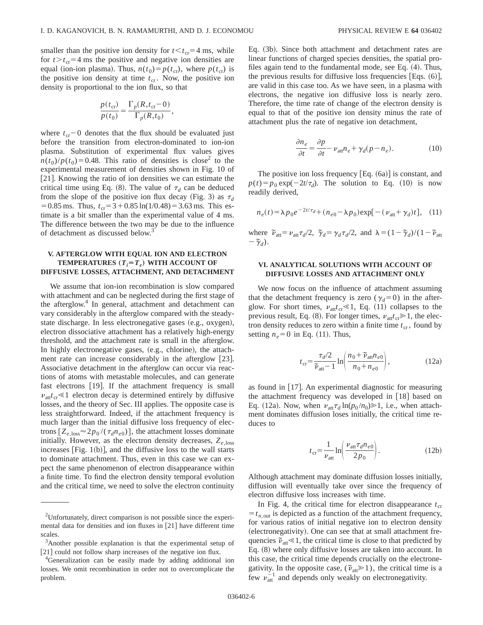smaller than the positive ion density for  $t < t_{cr} = 4$  ms, while for  $t > t_{cr} = 4$  ms the positive and negative ion densities are equal (ion-ion plasma). Thus,  $n(t_0) = p(t_{cr})$ , where  $p(t_{cr})$  is the positive ion density at time  $t_{cr}$ . Now, the positive ion density is proportional to the ion flux, so that

$$
\frac{p(t_{\rm cr})}{p(t_0)} = \frac{\Gamma_p(R, t_{\rm cr} - 0)}{\Gamma_p(R, t_0)},
$$

where  $t_{cr}$  – 0 denotes that the flux should be evaluated just before the transition from electron-dominated to ion-ion plasma. Substitution of experimental flux values gives  $n(t_0)/p(t_0)=0.48$ . This ratio of densities is close<sup>2</sup> to the experimental measurement of densities shown in Fig. 10 of [21]. Knowing the ratio of ion densities we can estimate the critical time using Eq. (8). The value of  $\tau_d$  can be deduced from the slope of the positive ion flux decay (Fig. 3) as  $\tau_d$  $=0.85$  ms. Thus,  $t_{cr} = 3 + 0.85 \ln(1/0.48) = 3.63$  ms. This estimate is a bit smaller than the experimental value of 4 ms. The difference between the two may be due to the influence of detachment as discussed below.<sup>3</sup>

## **V. AFTERGLOW WITH EQUAL ION AND ELECTRON TEMPERATURES**  $(T_i = T_e)$  **WITH ACCOUNT OF DIFFUSIVE LOSSES, ATTACHMENT, AND DETACHMENT**

We assume that ion-ion recombination is slow compared with attachment and can be neglected during the first stage of the afterglow.<sup>4</sup> In general, attachment and detachment can vary considerably in the afterglow compared with the steadystate discharge. In less electronegative gases (e.g., oxygen), electron dissociative attachment has a relatively high-energy threshold, and the attachment rate is small in the afterglow. In highly electronegative gases,  $(e.g., chlorine)$ , the attachment rate can increase considerably in the afterglow [23]. Associative detachment in the afterglow can occur via reactions of atoms with metastable molecules, and can generate fast electrons  $[19]$ . If the attachment frequency is small  $v_{\text{att}}t_{\text{cr}} \leq 1$  electron decay is determined entirely by diffusive losses, and the theory of Sec. III applies. The opposite case is less straightforward. Indeed, if the attachment frequency is much larger than the initial diffusive loss frequency of electrons  $[Z_{e,\text{loss}} \approx 2p_0/(\tau_d n_{e0})]$ , the attachment losses dominate initially. However, as the electron density decreases,  $Z_{e,loss}$ increases [Fig.  $1(b)$ ], and the diffusive loss to the wall starts to dominate attachment. Thus, even in this case we can expect the same phenomenon of electron disappearance within a finite time. To find the electron density temporal evolution and the critical time, we need to solve the electron continuity Eq.  $(3b)$ . Since both attachment and detachment rates are linear functions of charged species densities, the spatial profiles again tend to the fundamental mode, see Eq.  $(4)$ . Thus, the previous results for diffusive loss frequencies [Eqs.  $(6)$ ], are valid in this case too. As we have seen, in a plasma with electrons, the negative ion diffusive loss is nearly zero. Therefore, the time rate of change of the electron density is equal to that of the positive ion density minus the rate of attachment plus the rate of negative ion detachment,

$$
\frac{\partial n_e}{\partial t} = \frac{\partial p}{\partial t} - \nu_{\text{att}} n_e + \gamma_d (p - n_e). \tag{10}
$$

The positive ion loss frequency  $[Eq. (6a)]$  is constant, and  $p(t) = p_0 \exp(-2t/\tau_d)$ . The solution to Eq. (10) is now readily derived,

$$
n_e(t) = \lambda p_0 e^{-2t/\tau_d} + (n_{e0} - \lambda p_0) \exp[-(\nu_{\text{att}} + \gamma_d)t], \quad (11)
$$

where  $\tilde{\nu}_{\text{att}} = \nu_{\text{att}} \tau_d/2$ ,  $\tilde{\gamma}_d = \gamma_d \tau_d/2$ , and  $\lambda = (1 - \tilde{\gamma}_d)/(1 - \tilde{\nu}_{\text{att}})$  $-\tilde{\gamma}_d$ ).

### **VI. ANALYTICAL SOLUTIONS WITH ACCOUNT OF DIFFUSIVE LOSSES AND ATTACHMENT ONLY**

We now focus on the influence of attachment assuming that the detachment frequency is zero ( $\gamma_d=0$ ) in the afterglow. For short times,  $v_{\text{att}}t_{\text{cr}} \leq 1$ , Eq. (11) collapses to the previous result, Eq. (8). For longer times,  $v_{\text{att}}t_{\text{cr}} \ge 1$ , the electron density reduces to zero within a finite time  $t_{cr}$ , found by setting  $n_e$ =0 in Eq. (11). Thus,

$$
t_{\rm cr} = \frac{\tau_d/2}{\tilde{\nu}_{\rm att} - 1} \ln \left( \frac{n_0 + \tilde{\nu}_{\rm att} n_{e0}}{n_0 + n_{e0}} \right),\tag{12a}
$$

as found in  $[17]$ . An experimental diagnostic for measuring the attachment frequency was developed in  $[18]$  based on Eq. (12a). Now, when  $\nu_{\text{att}} \tau_d \ln(p_0 / n_0) \ge 1$ , i.e., when attachment dominates diffusion loses initially, the critical time reduces to

$$
t_{\rm cr} = \frac{1}{\nu_{\rm att}} \ln \left( \frac{\nu_{\rm att} \tau_d n_{e0}}{2p_0} \right). \tag{12b}
$$

Although attachment may dominate diffusion losses initially, diffusion will eventually take over since the frequency of electron diffusive loss increases with time.

In Fig. 4, the critical time for electron disappearance  $t_{cr}$  $t_{n,\text{out}}$  is depicted as a function of the attachment frequency, for various ratios of initial negative ion to electron density (electronegativity). One can see that at small attachment frequencies  $\tilde{v}_{\text{att}} \leq 1$ , the critical time is close to that predicted by Eq.  $(8)$  where only diffusive losses are taken into account. In this case, the critical time depends crucially on the electronegativity. In the opposite case,  $(\tilde{\nu}_{\text{att}} \ge 1)$ , the critical time is a few  $\nu_{\text{att}}^{-1}$  and depends only weakly on electronegativity.

 $2$ Unfortunately, direct comparison is not possible since the experimental data for densities and ion fluxes in  $[21]$  have different time scales.

<sup>&</sup>lt;sup>3</sup>Another possible explanation is that the experimental setup of  $[21]$  could not follow sharp increases of the negative ion flux.

<sup>&</sup>lt;sup>4</sup>Generalization can be easily made by adding additional ion losses. We omit recombination in order not to overcomplicate the problem.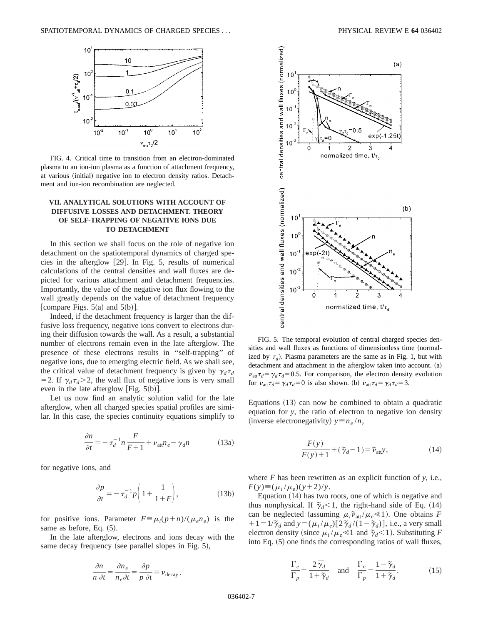

FIG. 4. Critical time to transition from an electron-dominated plasma to an ion-ion plasma as a function of attachment frequency, at various (initial) negative ion to electron density ratios. Detachment and ion-ion recombination are neglected.

## **VII. ANALYTICAL SOLUTIONS WITH ACCOUNT OF DIFFUSIVE LOSSES AND DETACHMENT. THEORY OF SELF-TRAPPING OF NEGATIVE IONS DUE TO DETACHMENT**

In this section we shall focus on the role of negative ion detachment on the spatiotemporal dynamics of charged species in the afterglow  $[29]$ . In Fig. 5, results of numerical calculations of the central densities and wall fluxes are depicted for various attachment and detachment frequencies. Importantly, the value of the negative ion flux flowing to the wall greatly depends on the value of detachment frequency [compare Figs.  $5(a)$  and  $5(b)$ ].

Indeed, if the detachment frequency is larger than the diffusive loss frequency, negative ions convert to electrons during their diffusion towards the wall. As a result, a substantial number of electrons remain even in the late afterglow. The presence of these electrons results in ''self-trapping'' of negative ions, due to emerging electric field. As we shall see, the critical value of detachment frequency is given by  $\gamma_d \tau_d$ = 2. If  $\gamma_d \tau_d$  > 2, the wall flux of negative ions is very small even in the late afterglow [Fig.  $5(b)$ ].

Let us now find an analytic solution valid for the late afterglow, when all charged species spatial profiles are similar. In this case, the species continuity equations simplify to

$$
\frac{\partial n}{\partial t} = -\tau_d^{-1} n \frac{F}{F+1} + \nu_{\text{att}} n_e - \gamma_d n \tag{13a}
$$

for negative ions, and

$$
\frac{\partial p}{\partial t} = -\tau_d^{-1} p \bigg( 1 + \frac{1}{1 + F} \bigg),\tag{13b}
$$

for positive ions. Parameter  $F \equiv \mu_i(p+n)/(\mu_e n_e)$  is the same as before, Eq.  $(5)$ .

In the late afterglow, electrons and ions decay with the same decay frequency (see parallel slopes in Fig.  $5$ ),

$$
\frac{\partial n}{n \partial t} = \frac{\partial n_e}{n_e \partial t} = \frac{\partial p}{p \partial t} \equiv \nu_{\text{decay}}.
$$



FIG. 5. The temporal evolution of central charged species densities and wall fluxes as functions of dimensionless time (normalized by  $\tau_d$ ). Plasma parameters are the same as in Fig. 1, but with detachment and attachment in the afterglow taken into account.  $(a)$  $\nu_{\text{att}} \tau_d = \gamma_d \tau_d = 0.5$ . For comparison, the electron density evolution for  $\nu_{\text{att}} \tau_d = \gamma_d \tau_d = 0$  is also shown. (b)  $\nu_{\text{att}} \tau_d = \gamma_d \tau_d = 3$ .

Equations  $(13)$  can now be combined to obtain a quadratic equation for *y*, the ratio of electron to negative ion density (inverse electronegativity)  $y \equiv n_e / n$ ,

$$
\frac{F(y)}{F(y)+1} + (\tilde{\gamma}_d - 1) = \tilde{\nu}_{\text{att}}y,\tag{14}
$$

where *F* has been rewritten as an explicit function of *y*, i.e.,  $F(y) \equiv (\mu_i / \mu_e)(y+2)/y$ .

Equation  $(14)$  has two roots, one of which is negative and thus nonphysical. If  $\tilde{\gamma}_d$ <1, the right-hand side of Eq. (14) can be neglected (assuming  $\mu_i \tilde{\nu}_{\text{att}} / \mu_e \ll 1$ ). One obtains *F*  $+1=1/\tilde{\gamma}_d$  and  $y=(\mu_i/\mu_e)[2\tilde{\gamma}_d/(1-\tilde{\gamma}_d)]$ , i.e., a very small electron density (since  $\mu_i / \mu_e \ll 1$  and  $\tilde{\gamma}_d < 1$ ). Substituting *F* into Eq.  $(5)$  one finds the corresponding ratios of wall fluxes,

$$
\frac{\Gamma_e}{\Gamma_p} = \frac{2\,\overline{\gamma}_d}{1 + \overline{\gamma}_d} \quad \text{and} \quad \frac{\Gamma_n}{\Gamma_p} = \frac{1 - \overline{\gamma}_d}{1 + \overline{\gamma}_d}.\tag{15}
$$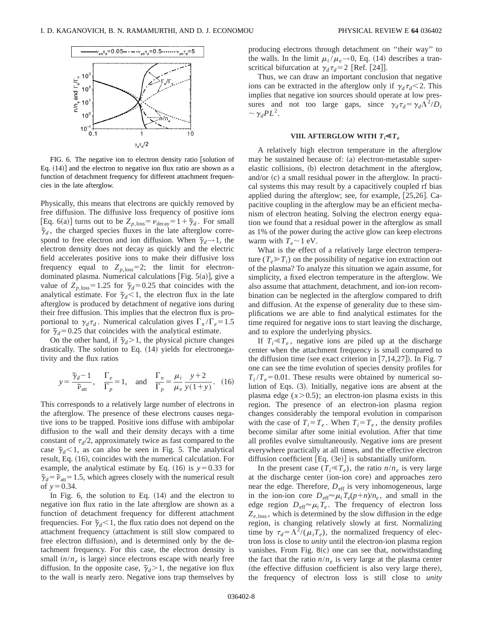

FIG. 6. The negative ion to electron density ratio [solution of Eq.  $(14)$ ] and the electron to negative ion flux ratio are shown as a function of detachment frequency for different attachment frequencies in the late afterglow.

Physically, this means that electrons are quickly removed by free diffusion. The diffusive loss frequency of positive ions [Eq. 6(a)] turns out to be  $Z_{p,\text{loss}} = \nu_{\text{decay}} = 1 + \tilde{\gamma}_d$ . For small  $\tilde{\gamma}_d$ , the charged species fluxes in the late afterglow correspond to free electron and ion diffusion. When  $\tilde{\gamma}_d \rightarrow 1$ , the electron density does not decay as quickly and the electric field accelerates positive ions to make their diffusive loss frequency equal to  $Z_{p,\text{loss}}=2$ ; the limit for electrondominated plasma. Numerical calculations [Fig.  $5(a)$ ], give a value of  $Z_{p,\text{loss}}=1.25$  for  $\tilde{\gamma}_d=0.25$  that coincides with the analytical estimate. For  $\tilde{\gamma}_d < 1$ , the electron flux in the late afterglow is produced by detachment of negative ions during their free diffusion. This implies that the electron flux is proportional to  $\gamma_d \tau_d$ . Numerical calculation gives  $\Gamma_n / \Gamma_e = 1.5$ for  $\tilde{\gamma}_d$ =0.25 that coincides with the analytical estimate.

On the other hand, if  $\tilde{\gamma}_d > 1$ , the physical picture changes drastically. The solution to Eq.  $(14)$  yields for electronegativity and the flux ratios

$$
y = \frac{\tilde{\gamma}_d - 1}{\tilde{\gamma}_{\text{att}}}, \quad \frac{\Gamma_e}{\Gamma_p} = 1, \quad \text{and} \quad \frac{\Gamma_n}{\Gamma_p} = \frac{\mu_i}{\mu_e} \frac{y + 2}{y(1 + y)}. \quad (16)
$$

This corresponds to a relatively large number of electrons in the afterglow. The presence of these electrons causes negative ions to be trapped. Positive ions diffuse with ambipolar diffusion to the wall and their density decays with a time constant of  $\tau_d/2$ , approximately twice as fast compared to the case  $\tilde{\gamma}_d$ <1, as can also be seen in Fig. 5. The analytical result, Eq. (16), coincides with the numerical calculation. For example, the analytical estimate by Eq.  $(16)$  is  $y=0.33$  for  $\tilde{\gamma}_d = \tilde{\nu}_{\text{att}} = 1.5$ , which agrees closely with the numerical result of  $y=0.34$ .

In Fig.  $6$ , the solution to Eq.  $(14)$  and the electron to negative ion flux ratio in the late afterglow are shown as a function of detachment frequency for different attachment frequencies. For  $\tilde{\gamma}_d$ <1, the flux ratio does not depend on the attachment frequency (attachment is still slow compared to free electron diffusion), and is determined only by the detachment frequency. For this case, the electron density is small  $(n/n_e)$  is large) since electrons escape with nearly free diffusion. In the opposite case,  $\tilde{\gamma}_d > 1$ , the negative ion flux to the wall is nearly zero. Negative ions trap themselves by producing electrons through detachment on ''their way'' to the walls. In the limit  $\mu_i / \mu_e \rightarrow 0$ , Eq. (14) describes a transcritical bifurcation at  $\gamma_d \tau_d = 2$  [Ref. [24]].

Thus, we can draw an important conclusion that negative ions can be extracted in the afterglow only if  $\gamma_d \tau_d < 2$ . This implies that negative ion sources should operate at low pressures and not too large gaps, since  $\gamma_d \tau_d = \gamma_d \Lambda^2/D_i$  $\sim \gamma_d PL^2$ .

#### **VIII.** AFTERGLOW WITH  $T_i \ll T_e$

A relatively high electron temperature in the afterglow may be sustained because of: (a) electron-metastable superelastic collisions, (b) electron detachment in the afterglow, and/or  $(c)$  a small residual power in the afterglow. In practical systems this may result by a capacitively coupled rf bias applied during the afterglow; see, for example,  $[25,26]$ . Capacitive coupling in the afterglow may be an efficient mechanism of electron heating. Solving the electron energy equation we found that a residual power in the afterglow as small as 1% of the power during the active glow can keep electrons warm with  $T_e \sim 1$  eV.

What is the effect of a relatively large electron temperature  $(T_e \gg T_i)$  on the possibility of negative ion extraction out of the plasma? To analyze this situation we again assume, for simplicity, a fixed electron temperature in the afterglow. We also assume that attachment, detachment, and ion-ion recombination can be neglected in the afterglow compared to drift and diffusion. At the expense of generality due to these simplifications we are able to find analytical estimates for the time required for negative ions to start leaving the discharge, and to explore the underlying physics.

If  $T_i \ll T_e$ , negative ions are piled up at the discharge center when the attachment frequency is small compared to the diffusion time (see exact criterion in  $[7,14,27]$ ). In Fig. 7 one can see the time evolution of species density profiles for  $T_i/T_e$ =0.01. These results were obtained by numerical solution of Eqs. (3). Initially, negative ions are absent at the plasma edge  $(x>0.5)$ ; an electron-ion plasma exists in this region. The presence of an electron-ion plasma region changes considerably the temporal evolution in comparison with the case of  $T_i = T_e$ . When  $T_i = T_e$ , the density profiles become similar after some initial evolution. After that time all profiles evolve simultaneously. Negative ions are present everywhere practically at all times, and the effective electron diffusion coefficient  $[Eq. (3e)]$  is substantially uniform.

In the present case  $(T_i \ll T_e)$ , the ratio  $n/n_e$  is very large at the discharge center (ion-ion core) and approaches zero near the edge. Therefore,  $D_{\text{eff}}$  is very inhomogeneous, large in the ion-ion core  $D_{\text{eff}} \approx \mu_i T_e(p+n)/n_e$ , and small in the edge region  $D_{\text{eff}} \approx \mu_i T_e$ . The frequency of electron loss  $Z_{e,loss}$ , which is determined by the slow diffusion in the edge region, is changing relatively slowly at first. Normalizing time by  $\tau_d = \Lambda^2/(\mu_i T_e)$ , the normalized frequency of electron loss is close to *unity* until the electron-ion plasma region vanishes. From Fig.  $8(c)$  one can see that, notwithstanding the fact that the ratio  $n/n_e$  is very large at the plasma center  $($ the effective diffusion coefficient is also very large there $),$ the frequency of electron loss is still close to *unity*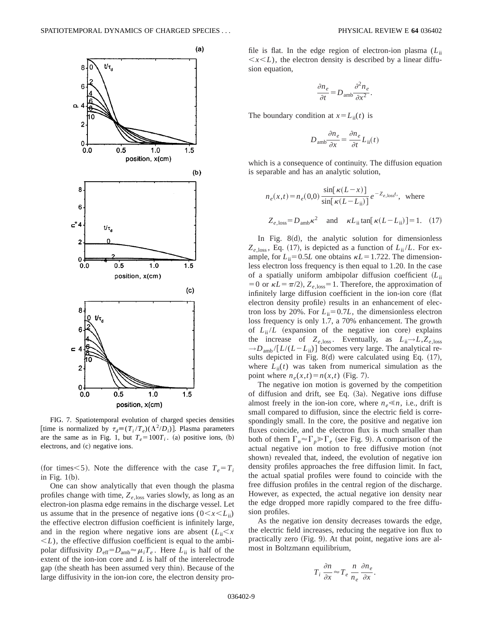

FIG. 7. Spatiotemporal evolution of charged species densities [time is normalized by  $\tau_d \equiv (T_i / T_e)(\Lambda^2 / D_i)$ ]. Plasma parameters are the same as in Fig. 1, but  $T_e = 100T_i$ . (a) positive ions, (b) electrons, and (c) negative ions.

(for times $<$ 5). Note the difference with the case  $T_e = T_i$ in Fig.  $1(b)$ .

One can show analytically that even though the plasma profiles change with time,  $Z_{e, \text{loss}}$  varies slowly, as long as an electron-ion plasma edge remains in the discharge vessel. Let us assume that in the presence of negative ions  $(0 \lt x \lt L_{ii})$ the effective electron diffusion coefficient is infinitely large, and in the region where negative ions are absent  $(L_i, \leq x)$  $\leq L$ ), the effective diffusion coefficient is equal to the ambipolar diffusivity  $D_{\text{eff}}=D_{\text{amb}} \approx \mu_i T_e$ . Here  $L_{\text{ii}}$  is half of the extent of the ion-ion core and *L* is half of the interelectrode gap (the sheath has been assumed very thin). Because of the large diffusivity in the ion-ion core, the electron density profile is flat. In the edge region of electron-ion plasma (*L*ii  $\langle x \rangle$ , the electron density is described by a linear diffusion equation,

$$
\frac{\partial n_e}{\partial t} = D_{\text{amb}} \frac{\partial^2 n_e}{\partial x^2}.
$$

The boundary condition at  $x = L_{ii}(t)$  is

$$
D_{\text{amb}} \frac{\partial n_e}{\partial x} = \frac{\partial n_e}{\partial t} L_{\text{ii}}(t)
$$

which is a consequence of continuity. The diffusion equation is separable and has an analytic solution,

$$
n_e(x,t) = n_e(0,0) \frac{\sin[\kappa(L-x)]}{\sin[\kappa(L-L_{ii})]} e^{-Z_{e,\text{loss}}t}, \text{ where}
$$
  

$$
Z_{e,\text{loss}} = D_{\text{amb}} \kappa^2 \text{ and } \kappa L_{\text{ii}} \tan[\kappa(L-L_{\text{ii}})] = 1. (17)
$$

In Fig.  $8(d)$ , the analytic solution for dimensionless  $Z_{e,loss}$ , Eq. (17), is depicted as a function of  $L_{ii}/L$ . For example, for  $L_{ii} = 0.5L$  one obtains  $\kappa L = 1.722$ . The dimensionless electron loss frequency is then equal to 1.20. In the case of a spatially uniform ambipolar diffusion coefficient  $(L_{ii})$ =0 or  $\kappa L = \pi/2$ ,  $Z_{e,\text{loss}} = 1$ . Therefore, the approximation of infinitely large diffusion coefficient in the ion-ion core (flat electron density profile) results in an enhancement of electron loss by 20%. For  $L_{ii} = 0.7L$ , the dimensionless electron loss frequency is only 1.7, a 70% enhancement. The growth of  $L_{ii}/L$  (expansion of the negative ion core) explains the increase of  $Z_{e,loss}$ . Eventually, as  $L_{ii} \rightarrow L, Z_{e,loss}$  $\rightarrow$ *D*<sub>amb</sub>/[*L*/(*L*-*L*<sub>ii</sub>)] becomes very large. The analytical results depicted in Fig.  $8(d)$  were calculated using Eq.  $(17)$ , where  $L_{ii}(t)$  was taken from numerical simulation as the point where  $n_e(x,t) = n(x,t)$  (Fig. 7).

The negative ion motion is governed by the competition of diffusion and drift, see Eq. (3a). Negative ions diffuse almost freely in the ion-ion core, where  $n_e \le n$ , i.e., drift is small compared to diffusion, since the electric field is correspondingly small. In the core, the positive and negative ion fluxes coincide, and the electron flux is much smaller than both of them  $\Gamma_n \approx \Gamma_p \gg \Gamma_e$  (see Fig. 9). A comparison of the actual negative ion motion to free diffusive motion (not shown) revealed that, indeed, the evolution of negative ion density profiles approaches the free diffusion limit. In fact, the actual spatial profiles were found to coincide with the free diffusion profiles in the central region of the discharge. However, as expected, the actual negative ion density near the edge dropped more rapidly compared to the free diffusion profiles.

As the negative ion density decreases towards the edge, the electric field increases, reducing the negative ion flux to practically zero  $(Fig. 9)$ . At that point, negative ions are almost in Boltzmann equilibrium,

$$
T_i \frac{\partial n}{\partial x} \approx T_e \frac{n}{n_e} \frac{\partial n_e}{\partial x}.
$$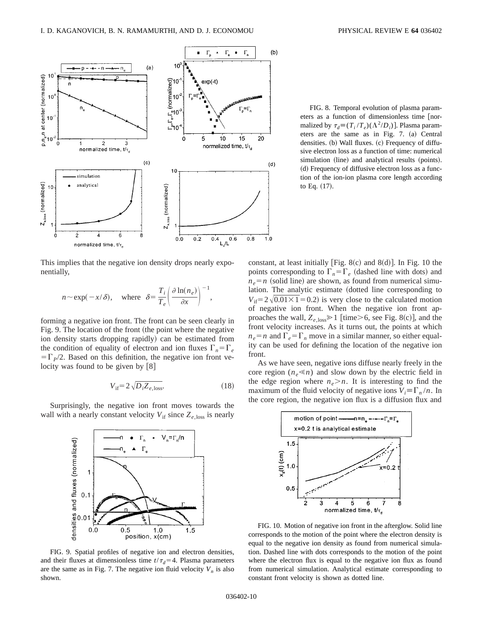

This implies that the negative ion density drops nearly exponentially,

$$
n \sim \exp(-x/\delta)
$$
, where  $\delta = \frac{T_i}{T_e} \left( \frac{\partial \ln(n_e)}{\partial x} \right)^{-1}$ ,

forming a negative ion front. The front can be seen clearly in Fig. 9. The location of the front (the point where the negative ion density starts dropping rapidly) can be estimated from the condition of equality of electron and ion fluxes  $\Gamma_n = \Gamma_e$  $=\Gamma_p/2$ . Based on this definition, the negative ion front velocity was found to be given by  $[8]$ 

$$
V_{\text{if}} = 2\sqrt{D_i Z_{e,\text{loss}}}.\tag{18}
$$

Surprisingly, the negative ion front moves towards the wall with a nearly constant velocity  $V_{\text{if}}$  since  $Z_{e,\text{loss}}$  is nearly



FIG. 9. Spatial profiles of negative ion and electron densities, and their fluxes at dimensionless time  $t/\tau_d = 4$ . Plasma parameters are the same as in Fig. 7. The negative ion fluid velocity  $V_n$  is also shown.

FIG. 8. Temporal evolution of plasma parameters as a function of dimensionless time [normalized by  $\tau_d \equiv (T_i / T_e)(\Lambda^2 / D_i)$ . Plasma parameters are the same as in Fig.  $7.$  (a) Central densities. (b) Wall fluxes. (c) Frequency of diffusive electron loss as a function of time: numerical simulation (line) and analytical results (points). ~d! Frequency of diffusive electron loss as a function of the ion-ion plasma core length according

constant, at least initially [Fig. 8 $(c)$  and 8 $(d)$ ]. In Fig. 10 the points corresponding to  $\Gamma_n = \Gamma_e$  (dashed line with dots) and  $n_e = n$  (solid line) are shown, as found from numerical simulation. The analytic estimate (dotted line corresponding to  $V_{\text{if}}=2\sqrt{0.01\times1}=0.2$ ) is very close to the calculated motion of negative ion front. When the negative ion front approaches the wall,  $Z_{e,\text{loss}} \geq 1$  [time>6, see Fig. 8(c)], and the front velocity increases. As it turns out, the points at which  $n_e = n$  and  $\Gamma_e = \Gamma_n$  move in a similar manner, so either equality can be used for defining the location of the negative ion front.

to Eq.  $(17)$ .

As we have seen, negative ions diffuse nearly freely in the core region  $(n_e \ll n)$  and slow down by the electric field in the edge region where  $n_e > n$ . It is interesting to find the maximum of the fluid velocity of negative ions  $V_i = \Gamma_n / n$ . In the core region, the negative ion flux is a diffusion flux and



FIG. 10. Motion of negative ion front in the afterglow. Solid line corresponds to the motion of the point where the electron density is equal to the negative ion density as found from numerical simulation. Dashed line with dots corresponds to the motion of the point where the electron flux is equal to the negative ion flux as found from numerical simulation. Analytical estimate corresponding to constant front velocity is shown as dotted line.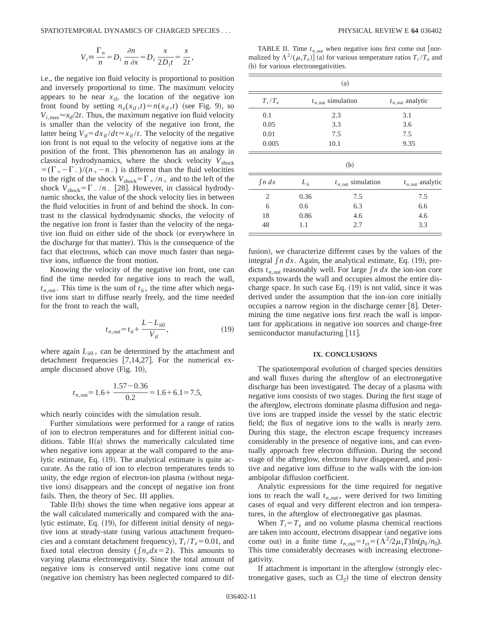SPATIOTEMPORAL DYNAMICS OF CHARGED SPECIES . . . PHYSICAL REVIEW E **64** 036402

$$
V_i \equiv \frac{\Gamma_n}{n} = D_i \frac{\partial n}{n \partial x} = D_i \frac{x}{2D_i t} = \frac{x}{2t},
$$

i.e., the negative ion fluid velocity is proportional to position and inversely proportional to time. The maximum velocity appears to be near  $x_{if}$ , the location of the negative ion front found by setting  $n_e(x_{if}, t) = n(x_{if}, t)$  (see Fig. 9), so  $V_{i, \text{max}} \approx x_{\text{if}}/2t$ . Thus, the maximum negative ion fluid velocity is smaller than the velocity of the negative ion front, the latter being  $V_{if} = dx_{if} / dt \approx x_{if} / t$ . The velocity of the negative ion front is not equal to the velocity of negative ions at the position of the front. This phenomenon has an analogy in classical hydrodynamics, where the shock velocity  $V_{\text{shock}}$  $= (\Gamma_{+} - \Gamma_{-})/(n_{+} - n_{-})$  is different than the fluid velocities to the right of the shock  $V_{\text{shock}}=\Gamma_+ / n_+$  and to the left of the shock  $V_{\text{shock}}=\Gamma_-/n$  [28]. However, in classical hydrodynamic shocks, the value of the shock velocity lies in between the fluid velocities in front of and behind the shock. In contrast to the classical hydrodynamic shocks, the velocity of the negative ion front is faster than the velocity of the negative ion fluid on either side of the shock (or everywhere in the discharge for that matter). This is the consequence of the fact that electrons, which can move much faster than negative ions, influence the front motion.

Knowing the velocity of the negative ion front, one can find the time needed for negative ions to reach the wall,  $t_{n,\text{out}}$ . This time is the sum of  $t_{\text{ii}}$ , the time after which negative ions start to diffuse nearly freely, and the time needed for the front to reach the wall,

$$
t_{n,\text{out}} = t_{\text{ii}} + \frac{L - L_{\text{ii0}}}{V_{\text{if}}},\tag{19}
$$

where again  $L_{\text{ii0}}$ , can be determined by the attachment and detachment frequencies  $[7,14,27]$ . For the numerical example discussed above  $(Fig. 10)$ ,

$$
t_{n,\text{out}} = 1.6 + \frac{1.57 - 0.36}{0.2} = 1.6 + 6.1 = 7.5,
$$

which nearly coincides with the simulation result.

Further simulations were performed for a range of ratios of ion to electron temperatures and for different initial conditions. Table  $II(a)$  shows the numerically calculated time when negative ions appear at the wall compared to the analytic estimate, Eq.  $(19)$ . The analytical estimate is quite accurate. As the ratio of ion to electron temperatures tends to unity, the edge region of electron-ion plasma (without negative ions) disappears and the concept of negative ion front fails. Then, the theory of Sec. III applies.

Table  $II(b)$  shows the time when negative ions appear at the wall calculated numerically and compared with the analytic estimate, Eq.  $(19)$ , for different initial density of negative ions at steady-state (using various attachment frequencies and a constant detachment frequency),  $T_i/T_e$ =0.01, and fixed total electron density ( $\int n_e dx = 2$ ). This amounts to varying plasma electronegativity. Since the total amount of negative ions is conserved until negative ions come out (negative ion chemistry has been neglected compared to dif-

TABLE II. Time  $t_{n,\text{out}}$  when negative ions first come out [normalized by  $\Lambda^2/(\mu_i T_e)$  (a) for various temperature ratios  $T_i/T_e$  and (b) for various electronegativities.

| (a)         |              |                               |                             |  |  |  |
|-------------|--------------|-------------------------------|-----------------------------|--|--|--|
| $T_i/T_e$   |              | $t_{n,\text{out}}$ simulation | $t_{n,\text{out}}$ analytic |  |  |  |
| 0.1         |              | 2.3                           | 3.1                         |  |  |  |
| 0.05        | 3.3          |                               | 3.6                         |  |  |  |
| 0.01        | 7.5          |                               | 7.5                         |  |  |  |
| 0.005       | 10.1         |                               | 9.35                        |  |  |  |
|             |              | (b)                           |                             |  |  |  |
| $\int n dx$ | $L_{\rm ii}$ | $t_{n,\text{out}}$ simulation | $t_{n,\text{out}}$ analytic |  |  |  |
| 2           | 0.36         | 7.5                           | 7.5                         |  |  |  |
| 6           | 0.6          | 6.3                           | 6.6                         |  |  |  |
| 18          | 0.86         | 4.6                           | 4.6                         |  |  |  |
| 48          | 1.1          | 2.7                           | 3.3                         |  |  |  |

fusion), we characterize different cases by the values of the integral  $\int n \, dx$ . Again, the analytical estimate, Eq. (19), predicts  $t_{n,out}$  reasonably well. For large  $\int n dx$  the ion-ion core expands towards the wall and occupies almost the entire discharge space. In such case Eq.  $(19)$  is not valid, since it was derived under the assumption that the ion-ion core initially occupies a narrow region in the discharge center  $\lceil 8 \rceil$ . Determining the time negative ions first reach the wall is important for applications in negative ion sources and charge-free semiconductor manufacturing [11].

#### **IX. CONCLUSIONS**

The spatiotemporal evolution of charged species densities and wall fluxes during the afterglow of an electronegative discharge has been investigated. The decay of a plasma with negative ions consists of two stages. During the first stage of the afterglow, electrons dominate plasma diffusion and negative ions are trapped inside the vessel by the static electric field; the flux of negative ions to the walls is nearly zero. During this stage, the electron escape frequency increases considerably in the presence of negative ions, and can eventually approach free electron diffusion. During the second stage of the afterglow, electrons have disappeared, and positive and negative ions diffuse to the walls with the ion-ion ambipolar diffusion coefficient.

Analytic expressions for the time required for negative ions to reach the wall  $t_{n,\text{out}}$ , were derived for two limiting cases of equal and very different electron and ion temperatures, in the afterglow of electronegative gas plasmas.

When  $T_i = T_e$  and no volume plasma chemical reactions are taken into account, electrons disappear (and negative ions come out) in a finite time  $t_{n,\text{out}} = t_{\text{cr}} = (\Lambda^2 / 2\mu_i T) \ln(p_0 / n_0)$ . This time considerably decreases with increasing electronegativity.

If attachment is important in the afterglow  $(\text{strongly elec-}$ tronegative gases, such as  $Cl<sub>2</sub>$ ) the time of electron density